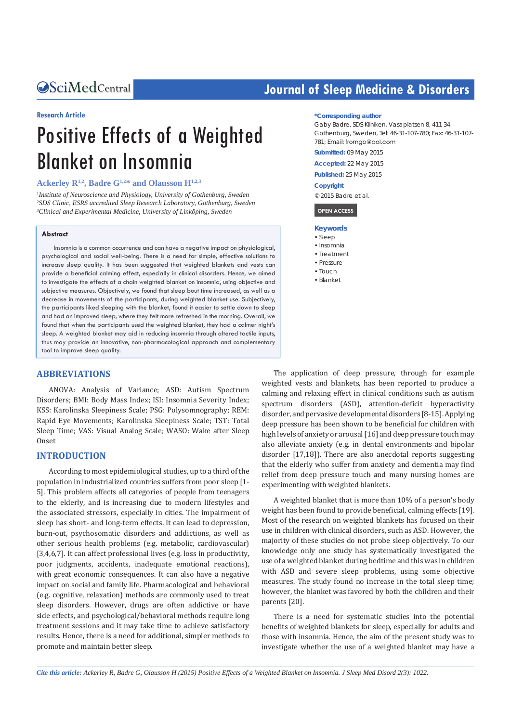#### **Research Article**

# Positive Effects of a Weighted Blanket on Insomnia

# **Ackerley R1,2, Badre G1,2\* and Olausson H1,2,3**

*1 Institute of Neuroscience and Physiology, University of Gothenburg, Sweden 2 SDS Clinic, ESRS accredited Sleep Research Laboratory, Gothenburg, Sweden 3 Clinical and Experimental Medicine, University of Linköping, Sweden*

#### **Abstract**

Insomnia is a common occurrence and can have a negative impact on physiological, psychological and social well-being. There is a need for simple, effective solutions to increase sleep quality. It has been suggested that weighted blankets and vests can provide a beneficial calming effect, especially in clinical disorders. Hence, we aimed to investigate the effects of a chain weighted blanket on insomnia, using objective and subjective measures. Objectively, we found that sleep bout time increased, as well as a decrease in movements of the participants, during weighted blanket use. Subjectively, the participants liked sleeping with the blanket, found it easier to settle down to sleep and had an improved sleep, where they felt more refreshed in the morning. Overall, we found that when the participants used the weighted blanket, they had a calmer night's sleep. A weighted blanket may aid in reducing insomnia through altered tactile inputs, thus may provide an innovative, non-pharmacological approach and complementary tool to improve sleep quality.

# **ABBREVIATIONS**

ANOVA: Analysis of Variance; ASD: Autism Spectrum Disorders; BMI: Body Mass Index; ISI: Insomnia Severity Index; KSS: Karolinska Sleepiness Scale; PSG: Polysomnography; REM: Rapid Eye Movements; Karolinska Sleepiness Scale; TST: Total Sleep Time; VAS: Visual Analog Scale; WASO: Wake after Sleep Onset

# **INTRODUCTION**

According to most epidemiological studies, up to a third of the population in industrialized countries suffers from poor sleep [1- 5]. This problem affects all categories of people from teenagers to the elderly, and is increasing due to modern lifestyles and the associated stressors, especially in cities. The impairment of sleep has short- and long-term effects. It can lead to depression, burn-out, psychosomatic disorders and addictions, as well as other serious health problems (e.g. metabolic, cardiovascular) [3,4,6,7]. It can affect professional lives (e.g. loss in productivity, poor judgments, accidents, inadequate emotional reactions), with great economic consequences. It can also have a negative impact on social and family life. Pharmacological and behavioral (e.g. cognitive, relaxation) methods are commonly used to treat sleep disorders. However, drugs are often addictive or have side effects, and psychological/behavioral methods require long treatment sessions and it may take time to achieve satisfactory results. Hence, there is a need for additional, simpler methods to promote and maintain better sleep.

# **Journal of Sleep Medicine & Disorders**

#### **\*Corresponding author**

Gaby Badre, SDS Kliniken, Vasaplatsen 8, 411 34 Gothenburg, Sweden, Tel: 46-31-107-780; Fax: 46-31-107- 781; Email: fromgb@gol.com

**Submitted:** 09 May 2015

**Accepted:** 22 May 2015 **Published:** 25 May 2015

# **Copyright**

© 2015 Badre et al.

#### **OPEN ACCESS**

#### **Keywords**

- • Sleep
- Insomnia • Treatment
- Pressure
- Touch
- • Blanket

The application of deep pressure, through for example weighted vests and blankets, has been reported to produce a calming and relaxing effect in clinical conditions such as autism spectrum disorders (ASD), attention-deficit hyperactivity disorder, and pervasive developmental disorders [8-15]. Applying deep pressure has been shown to be beneficial for children with high levels of anxiety or arousal [16] and deep pressure touch may also alleviate anxiety (e.g. in dental environments and bipolar disorder [17,18]). There are also anecdotal reports suggesting that the elderly who suffer from anxiety and dementia may find relief from deep pressure touch and many nursing homes are experimenting with weighted blankets.

A weighted blanket that is more than 10% of a person's body weight has been found to provide beneficial, calming effects [19]. Most of the research on weighted blankets has focused on their use in children with clinical disorders, such as ASD. However, the majority of these studies do not probe sleep objectively. To our knowledge only one study has systematically investigated the use of a weighted blanket during bedtime and this was in children with ASD and severe sleep problems, using some objective measures. The study found no increase in the total sleep time; however, the blanket was favored by both the children and their parents [20].

There is a need for systematic studies into the potential benefits of weighted blankets for sleep, especially for adults and those with insomnia. Hence, the aim of the present study was to investigate whether the use of a weighted blanket may have a

*Cite this article: Ackerley R, Badre G, Olausson H (2015) Positive Effects of a Weighted Blanket on Insomnia. J Sleep Med Disord 2(3): 1022.*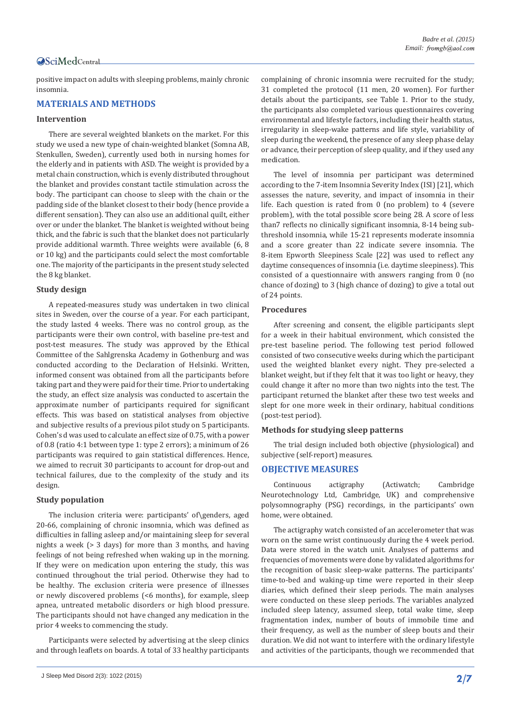positive impact on adults with sleeping problems, mainly chronic insomnia.

# **MATERIALS AND METHODS**

# **Intervention**

There are several weighted blankets on the market. For this study we used a new type of chain-weighted blanket (Somna AB, Stenkullen, Sweden), currently used both in nursing homes for the elderly and in patients with ASD. The weight is provided by a metal chain construction, which is evenly distributed throughout the blanket and provides constant tactile stimulation across the body. The participant can choose to sleep with the chain or the padding side of the blanket closest to their body (hence provide a different sensation). They can also use an additional quilt, either over or under the blanket. The blanket is weighted without being thick, and the fabric is such that the blanket does not particularly provide additional warmth. Three weights were available (6, 8 or 10 kg) and the participants could select the most comfortable one. The majority of the participants in the present study selected the 8 kg blanket.

#### **Study design**

A repeated-measures study was undertaken in two clinical sites in Sweden, over the course of a year. For each participant, the study lasted 4 weeks. There was no control group, as the participants were their own control, with baseline pre-test and post-test measures. The study was approved by the Ethical Committee of the Sahlgrenska Academy in Gothenburg and was conducted according to the Declaration of Helsinki. Written, informed consent was obtained from all the participants before taking part and they were paid for their time. Prior to undertaking the study, an effect size analysis was conducted to ascertain the approximate number of participants required for significant effects. This was based on statistical analyses from objective and subjective results of a previous pilot study on 5 participants. Cohen's d was used to calculate an effect size of 0.75, with a power of 0.8 (ratio 4:1 between type 1: type 2 errors); a minimum of 26 participants was required to gain statistical differences. Hence, we aimed to recruit 30 participants to account for drop-out and technical failures, due to the complexity of the study and its design.

#### **Study population**

The inclusion criteria were: participants' of\genders, aged 20-66, complaining of chronic insomnia, which was defined as difficulties in falling asleep and/or maintaining sleep for several nights a week (> 3 days) for more than 3 months, and having feelings of not being refreshed when waking up in the morning. If they were on medication upon entering the study, this was continued throughout the trial period. Otherwise they had to be healthy. The exclusion criteria were presence of illnesses or newly discovered problems (<6 months), for example, sleep apnea, untreated metabolic disorders or high blood pressure. The participants should not have changed any medication in the prior 4 weeks to commencing the study.

Participants were selected by advertising at the sleep clinics and through leaflets on boards. A total of 33 healthy participants complaining of chronic insomnia were recruited for the study; 31 completed the protocol (11 men, 20 women). For further details about the participants, see Table 1. Prior to the study, the participants also completed various questionnaires covering environmental and lifestyle factors, including their health status, irregularity in sleep-wake patterns and life style, variability of sleep during the weekend, the presence of any sleep phase delay or advance, their perception of sleep quality, and if they used any medication.

The level of insomnia per participant was determined according to the 7-item Insomnia Severity Index (ISI) [21], which assesses the nature, severity, and impact of insomnia in their life. Each question is rated from 0 (no problem) to 4 (severe problem), with the total possible score being 28. A score of less than7 reflects no clinically significant insomnia, 8-14 being subthreshold insomnia, while 15-21 represents moderate insomnia and a score greater than 22 indicate severe insomnia. The 8-item Epworth Sleepiness Scale [22] was used to reflect any daytime consequences of insomnia (i.e. daytime sleepiness). This consisted of a questionnaire with answers ranging from 0 (no chance of dozing) to 3 (high chance of dozing) to give a total out of 24 points.

#### **Procedures**

After screening and consent, the eligible participants slept for a week in their habitual environment, which consisted the pre-test baseline period. The following test period followed consisted of two consecutive weeks during which the participant used the weighted blanket every night. They pre-selected a blanket weight, but if they felt that it was too light or heavy, they could change it after no more than two nights into the test. The participant returned the blanket after these two test weeks and slept for one more week in their ordinary, habitual conditions (post-test period).

#### **Methods for studying sleep patterns**

The trial design included both objective (physiological) and subjective (self-report) measures.

# **OBJECTIVE MEASURES**

Continuous actigraphy (Actiwatch; Cambridge Neurotechnology Ltd, Cambridge, UK) and comprehensive polysomnography (PSG) recordings, in the participants' own home, were obtained.

The actigraphy watch consisted of an accelerometer that was worn on the same wrist continuously during the 4 week period. Data were stored in the watch unit. Analyses of patterns and frequencies of movements were done by validated algorithms for the recognition of basic sleep-wake patterns. The participants' time-to-bed and waking-up time were reported in their sleep diaries, which defined their sleep periods. The main analyses were conducted on these sleep periods. The variables analyzed included sleep latency, assumed sleep, total wake time, sleep fragmentation index, number of bouts of immobile time and their frequency, as well as the number of sleep bouts and their duration. We did not want to interfere with the ordinary lifestyle and activities of the participants, though we recommended that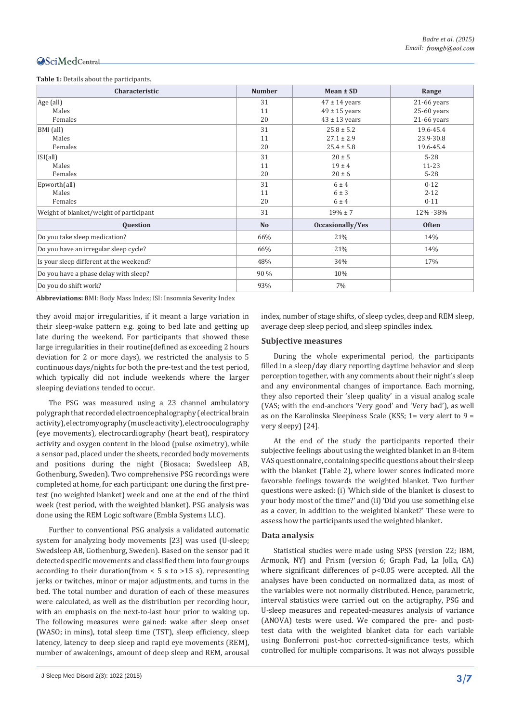#### **Table 1:** Details about the participants.

| Characteristic                          | <b>Number</b> | $Mean \pm SD$     | Range         |
|-----------------------------------------|---------------|-------------------|---------------|
| Age (all)                               | 31            | $47 \pm 14$ years | $21-66$ years |
| Males                                   | 11            | $49 \pm 15$ years | $25-60$ years |
| Females                                 | 20            | $43 \pm 13$ years | $21-66$ years |
| BMI (all)                               | 31            | $25.8 \pm 5.2$    | 19.6-45.4     |
| Males                                   | 11            | $27.1 \pm 2.9$    | 23.9-30.8     |
| Females                                 | 20            | $25.4 \pm 5.8$    | 19.6-45.4     |
| ISI(all)                                | 31            | $20 \pm 5$        | $5 - 28$      |
| Males                                   | 11            | $19 \pm 4$        | $11 - 23$     |
| Females                                 | 20            | $20 \pm 6$        | $5 - 28$      |
| Epworth(all)                            | 31            | 6±4               | $0 - 12$      |
| Males                                   | 11            | $6 \pm 3$         | $2 - 12$      |
| Females                                 | 20            | $6 \pm 4$         | $0 - 11$      |
| Weight of blanket/weight of participant | 31            | $19\% \pm 7$      | 12% - 38%     |
| <b>Ouestion</b>                         | <b>No</b>     | Occasionally/Yes  | <b>Often</b>  |
| Do you take sleep medication?           | 66%           | 21%               | 14%           |
| Do you have an irregular sleep cycle?   | 66%           | 21%               | 14%           |
| Is your sleep different at the weekend? | 48%           | 34%               | 17%           |
| Do you have a phase delay with sleep?   | 90 %          | 10%               |               |
| Do you do shift work?                   | 93%           | 7%                |               |

**Abbreviations:** BMI: Body Mass Index; ISI: Insomnia Severity Index

they avoid major irregularities, if it meant a large variation in their sleep-wake pattern e.g. going to bed late and getting up late during the weekend. For participants that showed these large irregularities in their routine(defined as exceeding 2 hours deviation for 2 or more days), we restricted the analysis to 5 continuous days/nights for both the pre-test and the test period, which typically did not include weekends where the larger sleeping deviations tended to occur.

The PSG was measured using a 23 channel ambulatory polygraph that recorded electroencephalography (electrical brain activity), electromyography (muscle activity), electrooculography (eye movements), electrocardiography (heart beat), respiratory activity and oxygen content in the blood (pulse oximetry), while a sensor pad, placed under the sheets, recorded body movements and positions during the night (Biosaca; Swedsleep AB, Gothenburg, Sweden). Two comprehensive PSG recordings were completed at home, for each participant: one during the first pretest (no weighted blanket) week and one at the end of the third week (test period, with the weighted blanket). PSG analysis was done using the REM Logic software (Embla Systems LLC).

Further to conventional PSG analysis a validated automatic system for analyzing body movements [23] was used (U-sleep; Swedsleep AB, Gothenburg, Sweden). Based on the sensor pad it detected specific movements and classified them into four groups according to their duration(from  $<$  5 s to >15 s), representing jerks or twitches, minor or major adjustments, and turns in the bed. The total number and duration of each of these measures were calculated, as well as the distribution per recording hour, with an emphasis on the next-to-last hour prior to waking up. The following measures were gained: wake after sleep onset (WASO; in mins), total sleep time (TST), sleep efficiency, sleep latency, latency to deep sleep and rapid eye movements (REM), number of awakenings, amount of deep sleep and REM, arousal index, number of stage shifts, of sleep cycles, deep and REM sleep, average deep sleep period, and sleep spindles index.

## **Subjective measures**

During the whole experimental period, the participants filled in a sleep/day diary reporting daytime behavior and sleep perception together, with any comments about their night's sleep and any environmental changes of importance. Each morning, they also reported their 'sleep quality' in a visual analog scale (VAS; with the end-anchors 'Very good' and 'Very bad'), as well as on the Karolinska Sleepiness Scale (KSS; 1= very alert to 9 = very sleepy) [24].

At the end of the study the participants reported their subjective feelings about using the weighted blanket in an 8-item VAS questionnaire, containing specific questions about their sleep with the blanket (Table 2), where lower scores indicated more favorable feelings towards the weighted blanket. Two further questions were asked: (i) 'Which side of the blanket is closest to your body most of the time?' and (ii) 'Did you use something else as a cover, in addition to the weighted blanket?' These were to assess how the participants used the weighted blanket.

## **Data analysis**

Statistical studies were made using SPSS (version 22; IBM, Armonk, NY) and Prism (version 6; Graph Pad, La Jolla, CA) where significant differences of p<0.05 were accepted. All the analyses have been conducted on normalized data, as most of the variables were not normally distributed. Hence, parametric, interval statistics were carried out on the actigraphy, PSG and U-sleep measures and repeated-measures analysis of variance (ANOVA) tests were used. We compared the pre- and posttest data with the weighted blanket data for each variable using Bonferroni post-hoc corrected-significance tests, which controlled for multiple comparisons. It was not always possible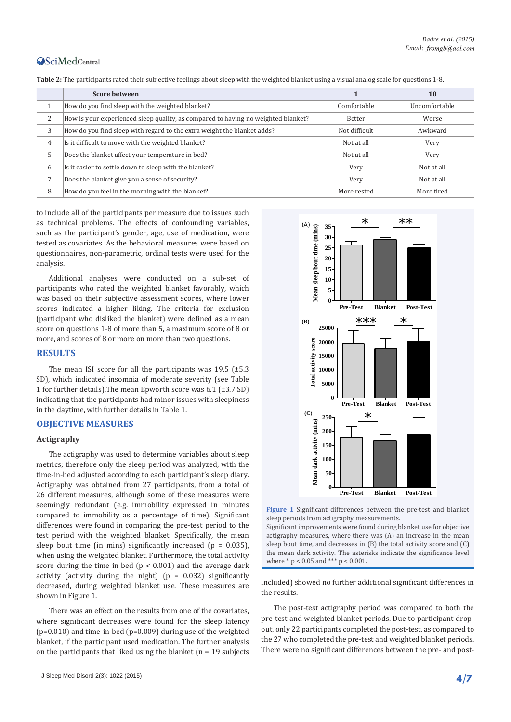|   | <b>Score between</b>                                                              |               | <b>10</b>     |
|---|-----------------------------------------------------------------------------------|---------------|---------------|
|   | How do you find sleep with the weighted blanket?                                  | Comfortable   | Uncomfortable |
| 2 | How is your experienced sleep quality, as compared to having no weighted blanket? | <b>Better</b> | Worse         |
| 3 | How do you find sleep with regard to the extra weight the blanket adds?           | Not difficult | Awkward       |
| 4 | Is it difficult to move with the weighted blanket?                                | Not at all    | Very          |
| 5 | Does the blanket affect your temperature in bed?                                  | Not at all    | Very          |
| 6 | Is it easier to settle down to sleep with the blanket?                            | Very          | Not at all    |
|   | Does the blanket give you a sense of security?                                    | Very          | Not at all    |
| 8 | How do you feel in the morning with the blanket?                                  | More rested   | More tired    |

**Table 2:** The participants rated their subjective feelings about sleep with the weighted blanket using a visual analog scale for questions 1-8.

to include all of the participants per measure due to issues such as technical problems. The effects of confounding variables, such as the participant's gender, age, use of medication, were tested as covariates. As the behavioral measures were based on questionnaires, non-parametric, ordinal tests were used for the analysis.

Additional analyses were conducted on a sub-set of participants who rated the weighted blanket favorably, which was based on their subjective assessment scores, where lower scores indicated a higher liking. The criteria for exclusion (participant who disliked the blanket) were defined as a mean score on questions 1-8 of more than 5, a maximum score of 8 or more, and scores of 8 or more on more than two questions.

# **RESULTS**

The mean ISI score for all the participants was  $19.5$  ( $\pm 5.3$ ) SD), which indicated insomnia of moderate severity (see Table 1 for further details).The mean Epworth score was 6.1 (±3.7 SD) indicating that the participants had minor issues with sleepiness in the daytime, with further details in Table 1.

# **OBJECTIVE MEASURES**

# **Actigraphy**

The actigraphy was used to determine variables about sleep metrics; therefore only the sleep period was analyzed, with the time-in-bed adjusted according to each participant's sleep diary. Actigraphy was obtained from 27 participants, from a total of 26 different measures, although some of these measures were seemingly redundant (e.g. immobility expressed in minutes compared to immobility as a percentage of time). Significant differences were found in comparing the pre-test period to the test period with the weighted blanket. Specifically, the mean sleep bout time (in mins) significantly increased ( $p = 0.035$ ), when using the weighted blanket. Furthermore, the total activity score during the time in bed ( $p < 0.001$ ) and the average dark activity (activity during the night) ( $p = 0.032$ ) significantly decreased, during weighted blanket use. These measures are shown in Figure 1.

There was an effect on the results from one of the covariates, where significant decreases were found for the sleep latency (p=0.010) and time-in-bed (p=0.009) during use of the weighted blanket, if the participant used medication. The further analysis on the participants that liked using the blanket  $(n = 19$  subjects



**Figure 1** Significant differences between the pre-test and blanket sleep periods from actigraphy measurements.

Significant improvements were found during blanket use for objective actigraphy measures, where there was (A) an increase in the mean sleep bout time, and decreases in (B) the total activity score and (C) the mean dark activity. The asterisks indicate the significance level where \* p < 0.05 and \*\*\* p < 0.001.

included) showed no further additional significant differences in the results.

The post-test actigraphy period was compared to both the pre-test and weighted blanket periods. Due to participant dropout, only 22 participants completed the post-test, as compared to the 27 who completed the pre-test and weighted blanket periods. There were no significant differences between the pre- and post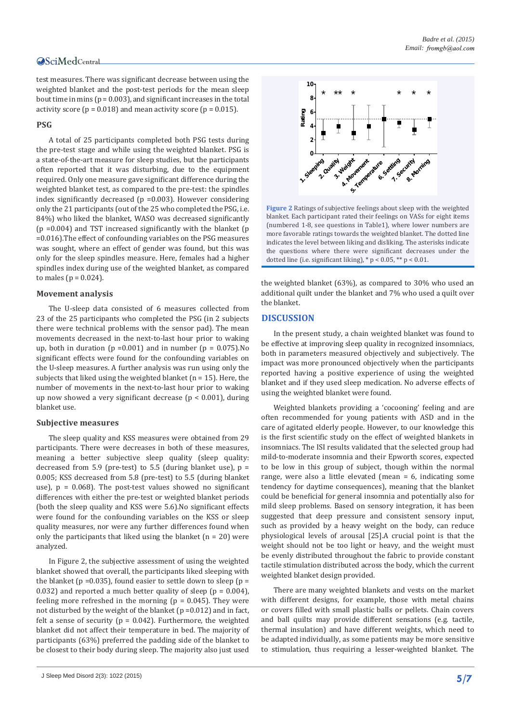test measures. There was significant decrease between using the weighted blanket and the post-test periods for the mean sleep bout time in mins ( $p = 0.003$ ), and significant increases in the total activity score ( $p = 0.018$ ) and mean activity score ( $p = 0.015$ ).

# **PSG**

A total of 25 participants completed both PSG tests during the pre-test stage and while using the weighted blanket. PSG is a state-of-the-art measure for sleep studies, but the participants often reported that it was disturbing, due to the equipment required. Only one measure gave significant difference during the weighted blanket test, as compared to the pre-test: the spindles index significantly decreased (p =0.003). However considering only the 21 participants (out of the 25 who completed the PSG, i.e. 84%) who liked the blanket, WASO was decreased significantly  $(p = 0.004)$  and TST increased significantly with the blanket  $(p = 0.004)$ =0.016).The effect of confounding variables on the PSG measures was sought, where an effect of gender was found, but this was only for the sleep spindles measure. Here, females had a higher spindles index during use of the weighted blanket, as compared to males ( $p = 0.024$ ).

#### **Movement analysis**

The U-sleep data consisted of 6 measures collected from 23 of the 25 participants who completed the PSG (in 2 subjects there were technical problems with the sensor pad). The mean movements decreased in the next-to-last hour prior to waking up, both in duration ( $p = 0.001$ ) and in number ( $p = 0.075$ ).No significant effects were found for the confounding variables on the U-sleep measures. A further analysis was run using only the subjects that liked using the weighted blanket ( $n = 15$ ). Here, the number of movements in the next-to-last hour prior to waking up now showed a very significant decrease ( $p < 0.001$ ), during blanket use.

#### **Subjective measures**

The sleep quality and KSS measures were obtained from 29 participants. There were decreases in both of these measures, meaning a better subjective sleep quality (sleep quality: decreased from 5.9 (pre-test) to 5.5 (during blanket use),  $p =$ 0.005; KSS decreased from 5.8 (pre-test) to 5.5 (during blanket use),  $p = 0.068$ . The post-test values showed no significant differences with either the pre-test or weighted blanket periods (both the sleep quality and KSS were 5.6).No significant effects were found for the confounding variables on the KSS or sleep quality measures, nor were any further differences found when only the participants that liked using the blanket  $(n = 20)$  were analyzed.

In Figure 2, the subjective assessment of using the weighted blanket showed that overall, the participants liked sleeping with the blanket ( $p = 0.035$ ), found easier to settle down to sleep ( $p =$ 0.032) and reported a much better quality of sleep ( $p = 0.004$ ), feeling more refreshed in the morning ( $p = 0.045$ ). They were not disturbed by the weight of the blanket ( $p = 0.012$ ) and in fact, felt a sense of security ( $p = 0.042$ ). Furthermore, the weighted blanket did not affect their temperature in bed. The majority of participants (63%) preferred the padding side of the blanket to be closest to their body during sleep. The majority also just used



**Figure 2** Ratings of subjective feelings about sleep with the weighted blanket. Each participant rated their feelings on VASs for eight items (numbered 1-8, see questions in Table1), where lower numbers are more favorable ratings towards the weighted blanket. The dotted line indicates the level between liking and disliking. The asterisks indicate the questions where there were significant decreases under the dotted line (i.e. significant liking),  $* p < 0.05$ ,  $** p < 0.01$ .

the weighted blanket (63%), as compared to 30% who used an additional quilt under the blanket and 7% who used a quilt over the blanket.

# **DISCUSSION**

In the present study, a chain weighted blanket was found to be effective at improving sleep quality in recognized insomniacs, both in parameters measured objectively and subjectively. The impact was more pronounced objectively when the participants reported having a positive experience of using the weighted blanket and if they used sleep medication. No adverse effects of using the weighted blanket were found.

Weighted blankets providing a 'cocooning' feeling and are often recommended for young patients with ASD and in the care of agitated elderly people. However, to our knowledge this is the first scientific study on the effect of weighted blankets in insomniacs. The ISI results validated that the selected group had mild-to-moderate insomnia and their Epworth scores, expected to be low in this group of subject, though within the normal range, were also a little elevated (mean = 6, indicating some tendency for daytime consequences), meaning that the blanket could be beneficial for general insomnia and potentially also for mild sleep problems. Based on sensory integration, it has been suggested that deep pressure and consistent sensory input, such as provided by a heavy weight on the body, can reduce physiological levels of arousal [25].A crucial point is that the weight should not be too light or heavy, and the weight must be evenly distributed throughout the fabric to provide constant tactile stimulation distributed across the body, which the current weighted blanket design provided.

There are many weighted blankets and vests on the market with different designs, for example, those with metal chains or covers filled with small plastic balls or pellets. Chain covers and ball quilts may provide different sensations (e.g. tactile, thermal insulation) and have different weights, which need to be adapted individually, as some patients may be more sensitive to stimulation, thus requiring a lesser-weighted blanket. The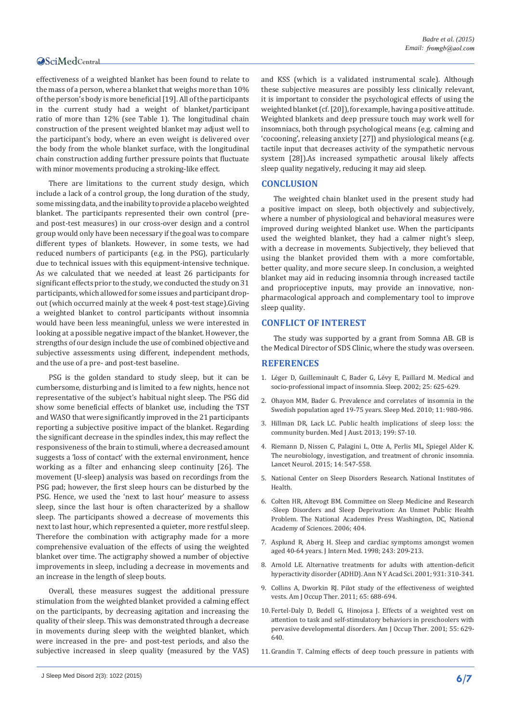effectiveness of a weighted blanket has been found to relate to the mass of a person, where a blanket that weighs more than 10% of the person's body is more beneficial [19]. All of the participants in the current study had a weight of blanket/participant ratio of more than 12% (see Table 1). The longitudinal chain construction of the present weighted blanket may adjust well to the participant's body, where an even weight is delivered over the body from the whole blanket surface, with the longitudinal chain construction adding further pressure points that fluctuate with minor movements producing a stroking-like effect.

There are limitations to the current study design, which include a lack of a control group, the long duration of the study, some missing data, and the inability to provide a placebo weighted blanket. The participants represented their own control (preand post-test measures) in our cross-over design and a control group would only have been necessary if the goal was to compare different types of blankets. However, in some tests, we had reduced numbers of participants (e.g. in the PSG), particularly due to technical issues with this equipment-intensive technique. As we calculated that we needed at least 26 participants for significant effects prior to the study, we conducted the study on 31 participants, which allowed for some issues and participant dropout (which occurred mainly at the week 4 post-test stage).Giving a weighted blanket to control participants without insomnia would have been less meaningful, unless we were interested in looking at a possible negative impact of the blanket. However, the strengths of our design include the use of combined objective and subjective assessments using different, independent methods, and the use of a pre- and post-test baseline.

PSG is the golden standard to study sleep, but it can be cumbersome, disturbing and is limited to a few nights, hence not representative of the subject's habitual night sleep. The PSG did show some beneficial effects of blanket use, including the TST and WASO that were significantly improved in the 21 participants reporting a subjective positive impact of the blanket. Regarding the significant decrease in the spindles index, this may reflect the responsiveness of the brain to stimuli, where a decreased amount suggests a 'loss of contact' with the external environment, hence working as a filter and enhancing sleep continuity [26]. The movement (U-sleep) analysis was based on recordings from the PSG pad; however, the first sleep hours can be disturbed by the PSG. Hence, we used the 'next to last hour' measure to assess sleep, since the last hour is often characterized by a shallow sleep. The participants showed a decrease of movements this next to last hour, which represented a quieter, more restful sleep. Therefore the combination with actigraphy made for a more comprehensive evaluation of the effects of using the weighted blanket over time. The actigraphy showed a number of objective improvements in sleep, including a decrease in movements and an increase in the length of sleep bouts.

Overall, these measures suggest the additional pressure stimulation from the weighted blanket provided a calming effect on the participants, by decreasing agitation and increasing the quality of their sleep. This was demonstrated through a decrease in movements during sleep with the weighted blanket, which were increased in the pre- and post-test periods, and also the subjective increased in sleep quality (measured by the VAS) and KSS (which is a validated instrumental scale). Although these subjective measures are possibly less clinically relevant, it is important to consider the psychological effects of using the weighted blanket (cf. [20]), for example, having a positive attitude. Weighted blankets and deep pressure touch may work well for insomniacs, both through psychological means (e.g. calming and 'cocooning', releasing anxiety [27]) and physiological means (e.g. tactile input that decreases activity of the sympathetic nervous system [28]).As increased sympathetic arousal likely affects sleep quality negatively, reducing it may aid sleep.

# **CONCLUSION**

The weighted chain blanket used in the present study had a positive impact on sleep, both objectively and subjectively, where a number of physiological and behavioral measures were improved during weighted blanket use. When the participants used the weighted blanket, they had a calmer night's sleep, with a decrease in movements. Subjectively, they believed that using the blanket provided them with a more comfortable, better quality, and more secure sleep. In conclusion, a weighted blanket may aid in reducing insomnia through increased tactile and proprioceptive inputs, may provide an innovative, nonpharmacological approach and complementary tool to improve sleep quality.

# **CONFLICT OF INTEREST**

The study was supported by a grant from Somna AB. GB is the Medical Director of SDS Clinic, where the study was overseen.

# **REFERENCES**

- 1. [Léger D, Guilleminault C, Bader G, Lévy E, Paillard M. Medical and](http://www.ncbi.nlm.nih.gov/pubmed/12224841)  socio-professional impact [of insomnia. Sleep. 2002; 25: 625-629.](http://www.ncbi.nlm.nih.gov/pubmed/12224841)
- 2. [Ohayon MM, Bader G. Prevalence and correlates of insomnia in the](http://www.ncbi.nlm.nih.gov/pubmed/21087896)  [Swedish population aged 19-75 years. Sleep Med. 2010; 11: 980-986.](http://www.ncbi.nlm.nih.gov/pubmed/21087896)
- 3. [Hillman DR, Lack LC. Public health implications of sleep loss: the](http://www.ncbi.nlm.nih.gov/pubmed/24138358)  [community burden. Med J Aust. 2013; 199: S7-10.](http://www.ncbi.nlm.nih.gov/pubmed/24138358)
- 4. [Riemann D, Nissen C, Palagini L, Otte A, Perlis ML, Spiegel Alder K.](http://www.ncbi.nlm.nih.gov/pubmed/25895933)  [The neurobiology, investigation, and treatment of chronic insomnia.](http://www.ncbi.nlm.nih.gov/pubmed/25895933)  [Lancet Neurol. 2015; 14: 547-558.](http://www.ncbi.nlm.nih.gov/pubmed/25895933)
- 5. [National Center on Sleep Disorders Research. National Institutes of](https://www.nhlbi.nih.gov/about/org/ncsdr/)  [Health.](https://www.nhlbi.nih.gov/about/org/ncsdr/)
- 6. Colten HR, Altevogt BM. Committee on Sleep Medicine and Research -Sleep Disorders and Sleep Deprivation: An Unmet Public Health Problem. The National Academies Press Washington, DC, National Academy of Sciences. 2006; 404.
- 7. [Asplund R, Aberg H. Sleep and cardiac symptoms amongst women](http://www.ncbi.nlm.nih.gov/pubmed/9627158)  [aged 40-64 years. J Intern Med. 1998; 243: 209-213.](http://www.ncbi.nlm.nih.gov/pubmed/9627158)
- 8. [Arnold LE. Alternative treatments for adults with attention-deficit](http://www.ncbi.nlm.nih.gov/pubmed/11462750)  [hyperactivity disorder \(ADHD\). Ann N Y Acad Sci. 2001; 931: 310-341.](http://www.ncbi.nlm.nih.gov/pubmed/11462750)
- 9. [Collins A, Dworkin RJ. Pilot study of the effectiveness of weighted](http://www.ncbi.nlm.nih.gov/pubmed/22214113)  [vests. Am J Occup Ther. 2011; 65: 688-694.](http://www.ncbi.nlm.nih.gov/pubmed/22214113)
- 10.[Fertel-Daly D, Bedell G, Hinojosa J. Effects of a weighted vest on](http://www.ncbi.nlm.nih.gov/pubmed/12959227)  [attention to task and self-stimulatory behaviors in preschoolers with](http://www.ncbi.nlm.nih.gov/pubmed/12959227)  [pervasive developmental disorders. Am J Occup Ther. 2001; 55: 629-](http://www.ncbi.nlm.nih.gov/pubmed/12959227) [640.](http://www.ncbi.nlm.nih.gov/pubmed/12959227)
- 11.[Grandin T. Calming effects of deep touch pressure in patients with](http://www.ncbi.nlm.nih.gov/pubmed/19630623)

J Sleep Med Disord 2(3): 1022 (2015) **6/7**